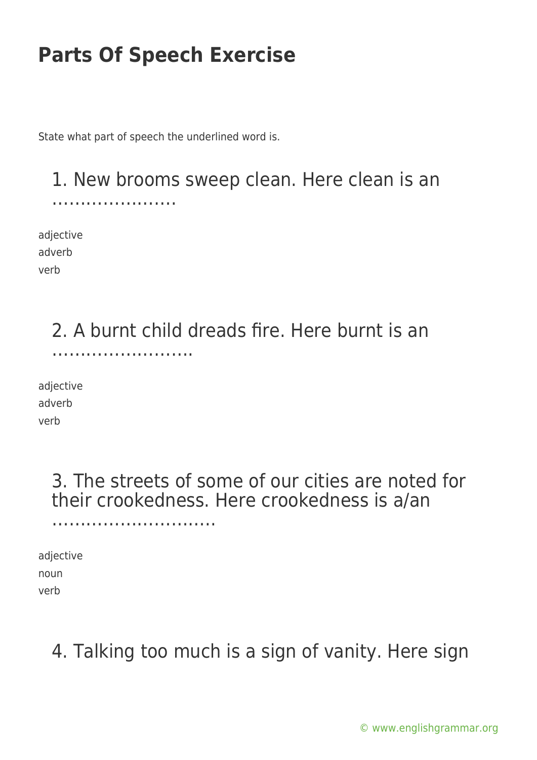State what part of speech the underlined word is.

### 1. New brooms sweep clean. Here clean is an ………………….

adjective adverb verb

### 2. A burnt child dreads fire. Here burnt is an …………………….

adjective adverb verb

> 3. The streets of some of our cities are noted for their crookedness. Here crookedness is a/an

adjective noun verb

………………………..

### 4. Talking too much is a sign of vanity. Here sign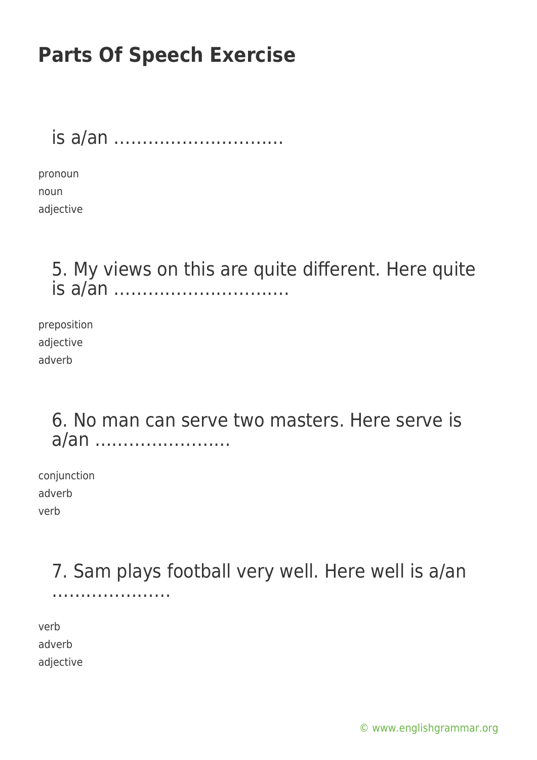is a/an …………………………

pronoun noun adjective

> 5. My views on this are quite different. Here quite is a/an ………………………….

preposition adjective adverb

> 6. No man can serve two masters. Here serve is a/an ……………………

conjunction adverb verb

> 7. Sam plays football very well. Here well is a/an ………………………

verb adverb adjective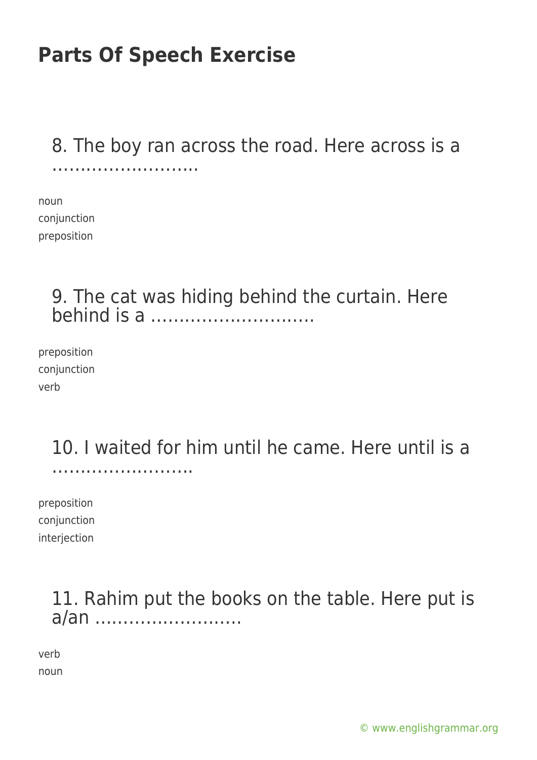#### 8. The boy ran across the road. Here across is a …………………………………………

noun conjunction preposition

### 9. The cat was hiding behind the curtain. Here behind is a ………………………..

preposition conjunction verb

#### 10. I waited for him until he came. Here until is a …………………….

preposition conjunction interjection

### 11. Rahim put the books on the table. Here put is a/an ……………………..

verb noun